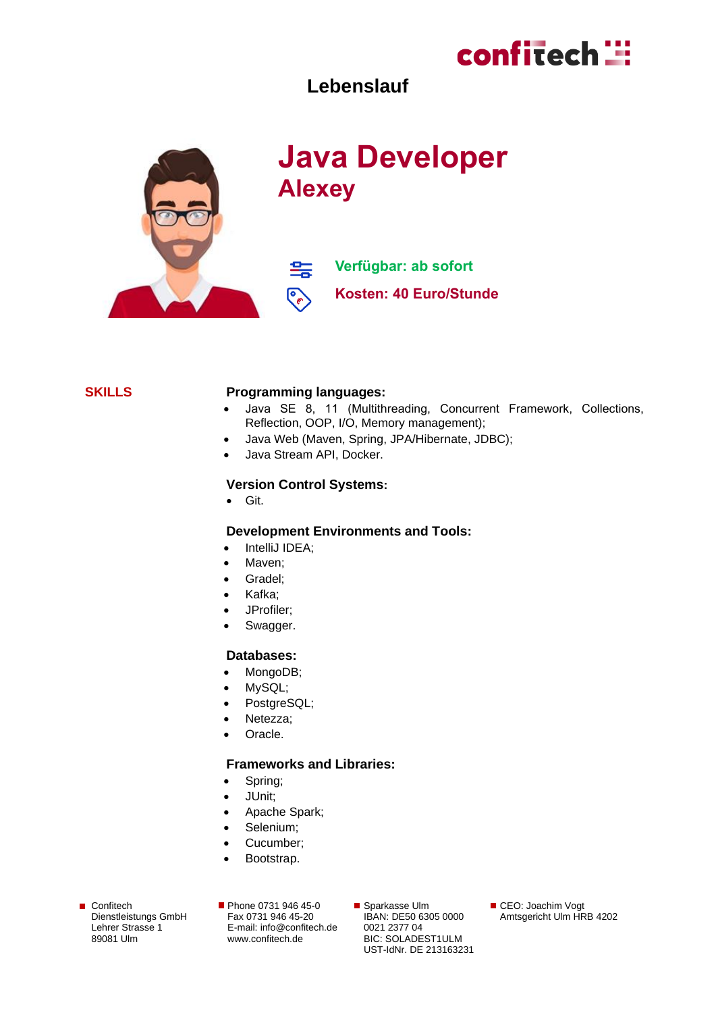

### **Lebenslauf**



# **Java Developer Alexey**

**Verfügbar: ab sofort** 轰 ೯ **Kosten: 40 Euro/Stunde**

#### **SKILLS Programming languages:**

- Java SE 8, 11 (Multithreading, Сoncurrent Framework, Collections, Reflection, OOP, I/O, Memory management);
- Java Web (Maven, Spring, JPA/Hibernate, JDBC);
- Java Stream API, Docker.

#### **Version Control Systems:**

• Git.

#### **Development Environments and Tools:**

- IntelliJ IDEA:
- Maven;
- Gradel;
- Kafka;
- JProfiler;
- Swagger.

#### **Databases:**

- MongoDB;
- MySQL;
- PostgreSQL;
- Netezza;
- Oracle.

#### **Frameworks and Libraries:**

- Spring;
- JUnit;
- Apache Spark;
- Selenium;
- Cucumber;
- Bootstrap.
- Confitech Dienstleistungs GmbH Lehrer Strasse 1 89081 Ulm

Phone 0731 946 45-0 Fax 0731 946 45-20 E-mail[: info@confitech.de](mailto:info@confitech.de) www.confitech.de

■ Sparkasse Ulm IBAN: DE50 6305 0000 0021 2377 04 BIC: SOLADEST1ULM UST-IdNr. DE 213163231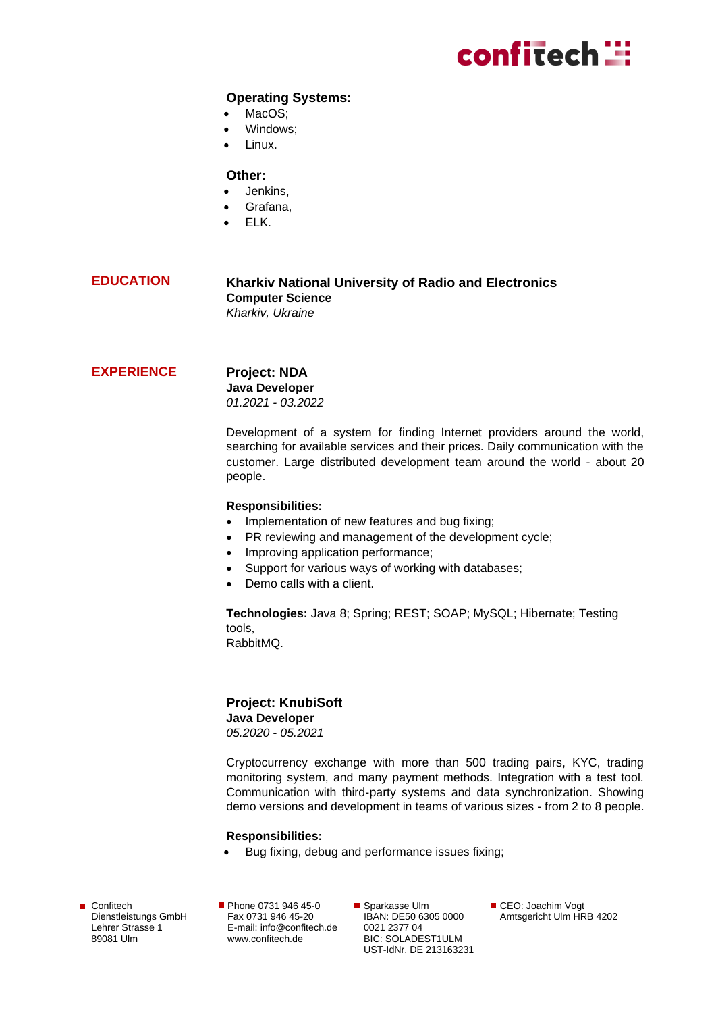# confitech **:::**

#### **Operating Systems:**

- MacOS:
- Windows:
- Linux.

#### **Other:**

- Jenkins,
- Grafana,
- ELK.

#### **EDUCATION Kharkiv National University of Radio and Electronics Computer Science** *Kharkiv, Ukraine*

#### **EXPERIENCE**

**Project: NDA Java Developer** *01.2021 - 03.2022*

Development of a system for finding Internet providers around the world, searching for available services and their prices. Daily communication with the customer. Large distributed development team around the world - about 20 people.

#### **Responsibilities:**

- Implementation of new features and bug fixing;
- PR reviewing and management of the development cycle;
- Improving application performance;
- Support for various ways of working with databases;
- Demo calls with a client.

**Technologies:** Java 8; Spring; REST; SOAP; MySQL; Hibernate; Testing tools,

RabbitMQ.

#### **Project: KnubiSoft**

**Java Developer**

*05.2020 - 05.2021*

Cryptocurrency exchange with more than 500 trading pairs, KYC, trading monitoring system, and many payment methods. Integration with a test tool. Communication with third-party systems and data synchronization. Showing demo versions and development in teams of various sizes - from 2 to 8 people.

#### **Responsibilities:**

• Bug fixing, debug and performance issues fixing;

Confitech Dienstleistungs GmbH Lehrer Strasse 1 89081 Ulm

Phone 0731 946 45-0 Fax 0731 946 45-20 E-mail[: info@confitech.de](mailto:info@confitech.de) www.confitech.de

■ Sparkasse Ulm IBAN: DE50 6305 0000 0021 2377 04 BIC: SOLADEST1ULM UST-IdNr. DE 213163231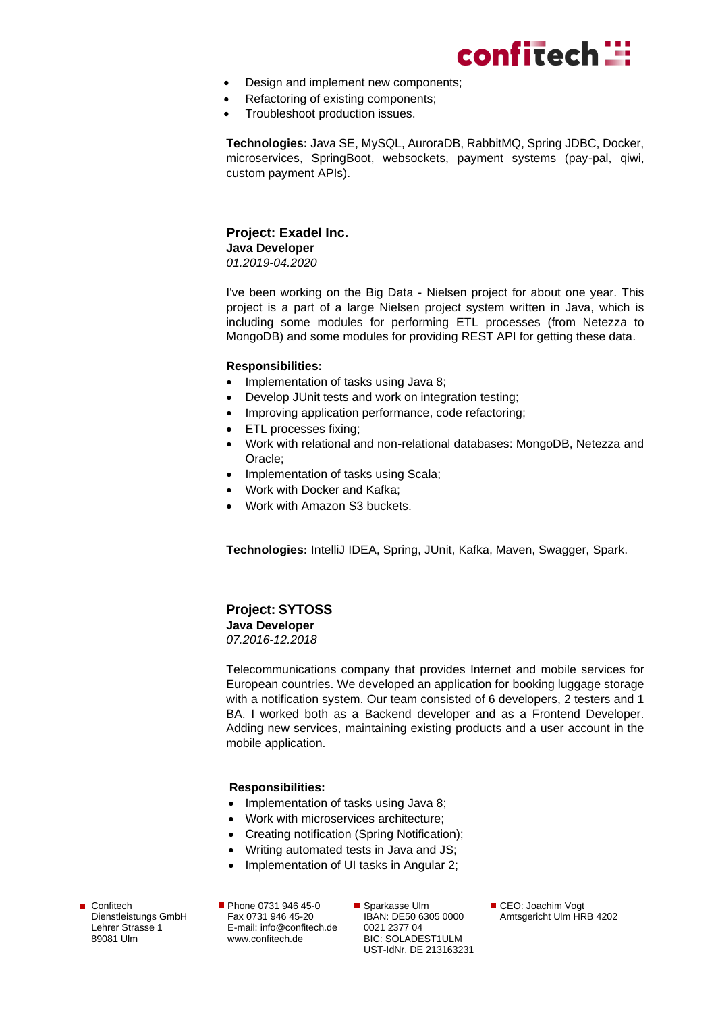

- Design and implement new components;
- Refactoring of existing components;
- Troubleshoot production issues.

**Technologies:** Java SE, MySQL, AuroraDB, RabbitMQ, Spring JDBC, Docker, microservices, SpringBoot, websockets, payment systems (pay-pal, qiwi, custom payment APIs).

## **Project: Exadel Inc.**

**Java Developer** *01.2019-04.2020*

I've been working on the Big Data - Nielsen project for about one year. This project is a part of a large Nielsen project system written in Java, which is including some modules for performing ETL processes (from Netezza to MongoDB) and some modules for providing REST API for getting these data.

#### **Responsibilities:**

- Implementation of tasks using Java 8;
- Develop JUnit tests and work on integration testing;
- Improving application performance, code refactoring;
- ETL processes fixing;
- Work with relational and non-relational databases: MongoDB, Netezza and Oracle;
- Implementation of tasks using Scala;
- Work with Docker and Kafka;
- Work with Amazon S3 buckets.

**Technologies:** IntelliJ IDEA, Spring, JUnit, Kafka, Maven, Swagger, Spark.

#### **Project: SYTOSS**

**Java Developer**

*07.2016-12.2018*

Telecommunications company that provides Internet and mobile services for European countries. We developed an application for booking luggage storage with a notification system. Our team consisted of 6 developers, 2 testers and 1 BA. I worked both as a Backend developer and as a Frontend Developer. Adding new services, maintaining existing products and a user account in the mobile application.

#### **Responsibilities:**

- Implementation of tasks using Java 8;
- Work with microservices architecture;
- Creating notification (Spring Notification);
- Writing automated tests in Java and JS;
- Implementation of UI tasks in Angular 2;

Confitech Dienstleistungs GmbH Lehrer Strasse 1 89081 Ulm

Phone 0731 946 45-0 Fax 0731 946 45-20 E-mail[: info@confitech.de](mailto:info@confitech.de) www.confitech.de

■ Sparkasse Ulm IBAN: DE50 6305 0000 0021 2377 04 BIC: SOLADEST1ULM UST-IdNr. DE 213163231